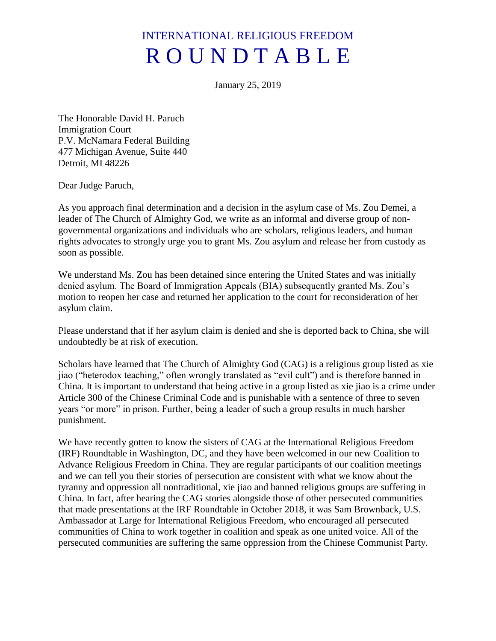## INTERNATIONAL RELIGIOUS FREEDOM R O U N D T A B L E

January 25, 2019

The Honorable David H. Paruch Immigration Court P.V. McNamara Federal Building 477 Michigan Avenue, Suite 440 Detroit, MI 48226

Dear Judge Paruch,

As you approach final determination and a decision in the asylum case of Ms. Zou Demei, a leader of The Church of Almighty God, we write as an informal and diverse group of nongovernmental organizations and individuals who are scholars, religious leaders, and human rights advocates to strongly urge you to grant Ms. Zou asylum and release her from custody as soon as possible.

We understand Ms. Zou has been detained since entering the United States and was initially denied asylum. The Board of Immigration Appeals (BIA) subsequently granted Ms. Zou's motion to reopen her case and returned her application to the court for reconsideration of her asylum claim.

Please understand that if her asylum claim is denied and she is deported back to China, she will undoubtedly be at risk of execution.

Scholars have learned that The Church of Almighty God (CAG) is a religious group listed as xie jiao ("heterodox teaching," often wrongly translated as "evil cult") and is therefore banned in China. It is important to understand that being active in a group listed as xie jiao is a crime under Article 300 of the Chinese Criminal Code and is punishable with a sentence of three to seven years "or more" in prison. Further, being a leader of such a group results in much harsher punishment.

We have recently gotten to know the sisters of CAG at the International Religious Freedom (IRF) Roundtable in Washington, DC, and they have been welcomed in our new Coalition to Advance Religious Freedom in China. They are regular participants of our coalition meetings and we can tell you their stories of persecution are consistent with what we know about the tyranny and oppression all nontraditional, xie jiao and banned religious groups are suffering in China. In fact, after hearing the CAG stories alongside those of other persecuted communities that made presentations at the IRF Roundtable in October 2018, it was Sam Brownback, U.S. Ambassador at Large for International Religious Freedom, who encouraged all persecuted communities of China to work together in coalition and speak as one united voice. All of the persecuted communities are suffering the same oppression from the Chinese Communist Party.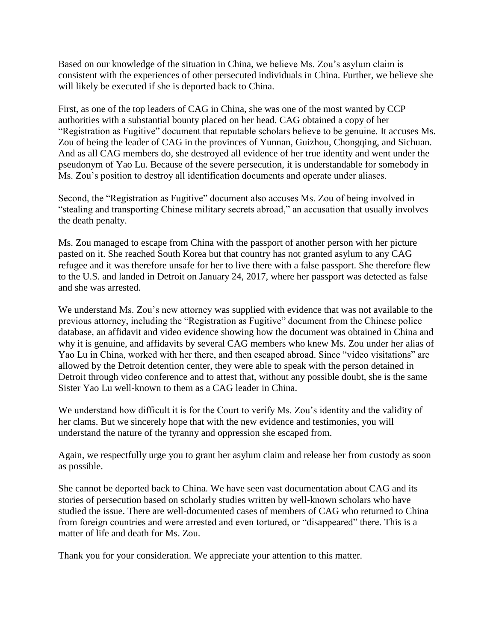Based on our knowledge of the situation in China, we believe Ms. Zou's asylum claim is consistent with the experiences of other persecuted individuals in China. Further, we believe she will likely be executed if she is deported back to China.

First, as one of the top leaders of CAG in China, she was one of the most wanted by CCP authorities with a substantial bounty placed on her head. CAG obtained a copy of her "Registration as Fugitive" document that reputable scholars believe to be genuine. It accuses Ms. Zou of being the leader of CAG in the provinces of Yunnan, Guizhou, Chongqing, and Sichuan. And as all CAG members do, she destroyed all evidence of her true identity and went under the pseudonym of Yao Lu. Because of the severe persecution, it is understandable for somebody in Ms. Zou's position to destroy all identification documents and operate under aliases.

Second, the "Registration as Fugitive" document also accuses Ms. Zou of being involved in "stealing and transporting Chinese military secrets abroad," an accusation that usually involves the death penalty.

Ms. Zou managed to escape from China with the passport of another person with her picture pasted on it. She reached South Korea but that country has not granted asylum to any CAG refugee and it was therefore unsafe for her to live there with a false passport. She therefore flew to the U.S. and landed in Detroit on January 24, 2017, where her passport was detected as false and she was arrested.

We understand Ms. Zou's new attorney was supplied with evidence that was not available to the previous attorney, including the "Registration as Fugitive" document from the Chinese police database, an affidavit and video evidence showing how the document was obtained in China and why it is genuine, and affidavits by several CAG members who knew Ms. Zou under her alias of Yao Lu in China, worked with her there, and then escaped abroad. Since "video visitations" are allowed by the Detroit detention center, they were able to speak with the person detained in Detroit through video conference and to attest that, without any possible doubt, she is the same Sister Yao Lu well-known to them as a CAG leader in China.

We understand how difficult it is for the Court to verify Ms. Zou's identity and the validity of her clams. But we sincerely hope that with the new evidence and testimonies, you will understand the nature of the tyranny and oppression she escaped from.

Again, we respectfully urge you to grant her asylum claim and release her from custody as soon as possible.

She cannot be deported back to China. We have seen vast documentation about CAG and its stories of persecution based on scholarly studies written by well-known scholars who have studied the issue. There are well-documented cases of members of CAG who returned to China from foreign countries and were arrested and even tortured, or "disappeared" there. This is a matter of life and death for Ms. Zou.

Thank you for your consideration. We appreciate your attention to this matter.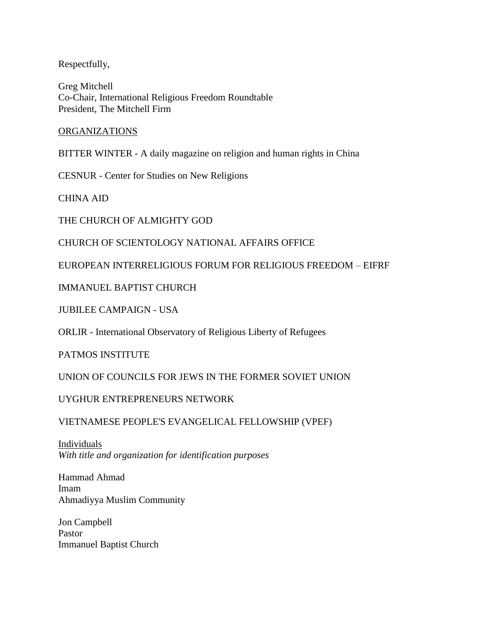Respectfully,

Greg Mitchell Co-Chair, International Religious Freedom Roundtable President, The Mitchell Firm

## ORGANIZATIONS

BITTER WINTER - A daily magazine on religion and human rights in China

CESNUR - Center for Studies on New Religions

CHINA AID

THE CHURCH OF ALMIGHTY GOD

CHURCH OF SCIENTOLOGY NATIONAL AFFAIRS OFFICE

EUROPEAN INTERRELIGIOUS FORUM FOR RELIGIOUS FREEDOM – EIFRF

IMMANUEL BAPTIST CHURCH

JUBILEE CAMPAIGN - USA

ORLIR - International Observatory of Religious Liberty of Refugees

PATMOS INSTITUTE

UNION OF COUNCILS FOR JEWS IN THE FORMER SOVIET UNION

UYGHUR ENTREPRENEURS NETWORK

VIETNAMESE PEOPLE'S EVANGELICAL FELLOWSHIP (VPEF)

Individuals *With title and organization for identification purposes*

Hammad Ahmad Imam Ahmadiyya Muslim Community

Jon Campbell Pastor Immanuel Baptist Church